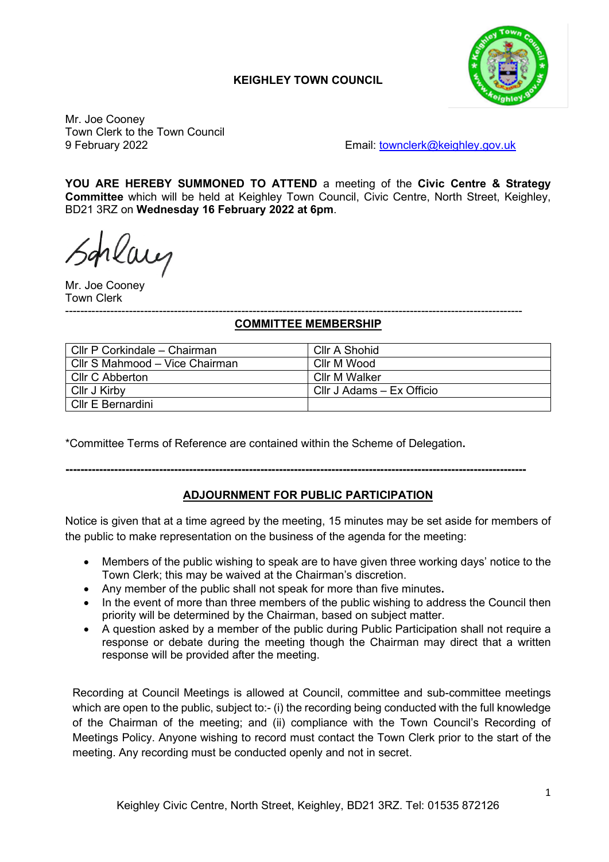# **KEIGHLEY TOWN COUNCIL**



Mr. Joe Cooney Town Clerk to the Town Council

9 February 2022 Email: [townclerk@keighley.gov.uk](mailto:townclerk@keighley.gov.uk)

**YOU ARE HEREBY SUMMONED TO ATTEND** a meeting of the **Civic Centre & Strategy Committee** which will be held at Keighley Town Council, Civic Centre, North Street, Keighley, BD21 3RZ on **Wednesday 16 February 2022 at 6pm**.

rlaug

Mr. Joe Cooney Town Clerk

#### -------------------------------------------------------------------------------------------------------------------------- **COMMITTEE MEMBERSHIP**

| Cllr P Corkindale - Chairman   | Cllr A Shohid             |
|--------------------------------|---------------------------|
| Cllr S Mahmood - Vice Chairman | Cllr M Wood               |
| Cllr C Abberton                | Cllr M Walker             |
| Cllr J Kirby                   | Cllr J Adams - Ex Officio |
| Cllr E Bernardini              |                           |

\*Committee Terms of Reference are contained within the Scheme of Delegation**.**

## **---------------------------------------------------------------------------------------------------------------------------**

# **ADJOURNMENT FOR PUBLIC PARTICIPATION**

Notice is given that at a time agreed by the meeting, 15 minutes may be set aside for members of the public to make representation on the business of the agenda for the meeting:

- Members of the public wishing to speak are to have given three working days' notice to the Town Clerk; this may be waived at the Chairman's discretion.
- Any member of the public shall not speak for more than five minutes**.**
- In the event of more than three members of the public wishing to address the Council then priority will be determined by the Chairman, based on subject matter.
- A question asked by a member of the public during Public Participation shall not require a response or debate during the meeting though the Chairman may direct that a written response will be provided after the meeting.

Recording at Council Meetings is allowed at Council, committee and sub-committee meetings which are open to the public, subject to:- (i) the recording being conducted with the full knowledge of the Chairman of the meeting; and (ii) compliance with the Town Council's Recording of Meetings Policy. Anyone wishing to record must contact the Town Clerk prior to the start of the meeting. Any recording must be conducted openly and not in secret.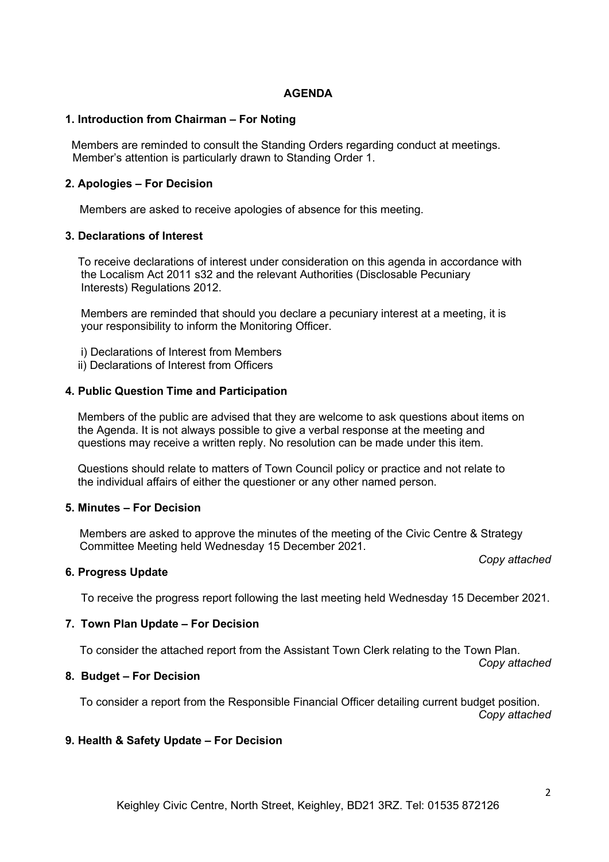### **AGENDA**

#### **1. Introduction from Chairman – For Noting**

 Members are reminded to consult the Standing Orders regarding conduct at meetings. Member's attention is particularly drawn to Standing Order 1.

### **2. Apologies – For Decision**

Members are asked to receive apologies of absence for this meeting.

#### **3. Declarations of Interest**

 To receive declarations of interest under consideration on this agenda in accordance with the Localism Act 2011 s32 and the relevant Authorities (Disclosable Pecuniary Interests) Regulations 2012.

 Members are reminded that should you declare a pecuniary interest at a meeting, it is your responsibility to inform the Monitoring Officer.

- i) Declarations of Interest from Members
- ii) Declarations of Interest from Officers

#### **4. Public Question Time and Participation**

 Members of the public are advised that they are welcome to ask questions about items on the Agenda. It is not always possible to give a verbal response at the meeting and questions may receive a written reply. No resolution can be made under this item.

 Questions should relate to matters of Town Council policy or practice and not relate to the individual affairs of either the questioner or any other named person.

#### **5. Minutes – For Decision**

Members are asked to approve the minutes of the meeting of the Civic Centre & Strategy Committee Meeting held Wednesday 15 December 2021.

### **6. Progress Update**

To receive the progress report following the last meeting held Wednesday 15 December 2021.

#### **7. Town Plan Update – For Decision**

To consider the attached report from the Assistant Town Clerk relating to the Town Plan.

### **8. Budget – For Decision**

To consider a report from the Responsible Financial Officer detailing current budget position. *Copy attached*

### **9. Health & Safety Update – For Decision**

*Copy attached*

*Copy attached*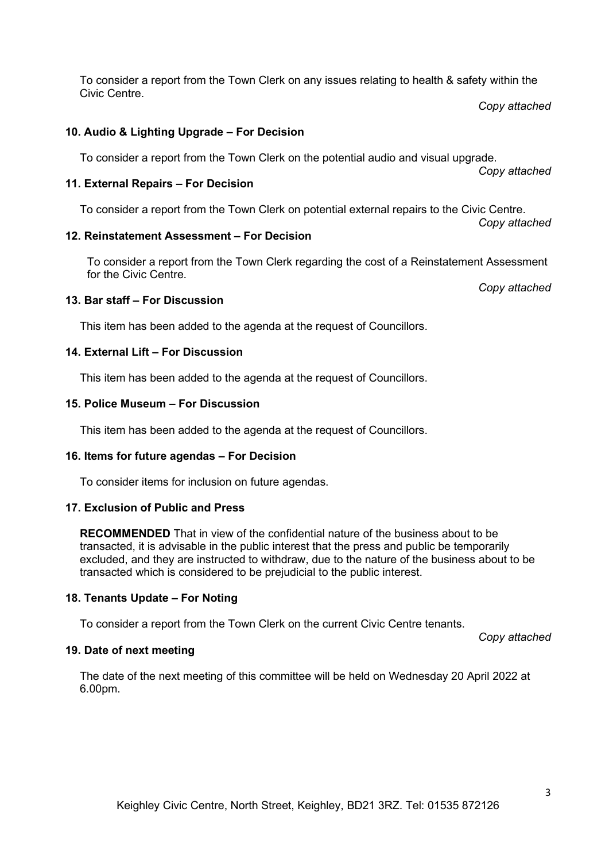To consider a report from the Town Clerk on any issues relating to health & safety within the Civic Centre.

*Copy attached* 

*Copy attached*

#### **10. Audio & Lighting Upgrade – For Decision**

To consider a report from the Town Clerk on the potential audio and visual upgrade.

#### **11. External Repairs – For Decision**

To consider a report from the Town Clerk on potential external repairs to the Civic Centre.

*Copy attached*

#### **12. Reinstatement Assessment – For Decision**

To consider a report from the Town Clerk regarding the cost of a Reinstatement Assessment for the Civic Centre.

*Copy attached*

### **13. Bar staff – For Discussion**

This item has been added to the agenda at the request of Councillors.

#### **14. External Lift – For Discussion**

This item has been added to the agenda at the request of Councillors.

#### **15. Police Museum – For Discussion**

This item has been added to the agenda at the request of Councillors.

### **16. Items for future agendas – For Decision**

To consider items for inclusion on future agendas.

#### **17. Exclusion of Public and Press**

**RECOMMENDED** That in view of the confidential nature of the business about to be transacted, it is advisable in the public interest that the press and public be temporarily excluded, and they are instructed to withdraw, due to the nature of the business about to be transacted which is considered to be prejudicial to the public interest.

#### **18. Tenants Update – For Noting**

To consider a report from the Town Clerk on the current Civic Centre tenants.

*Copy attached*

#### **19. Date of next meeting**

The date of the next meeting of this committee will be held on Wednesday 20 April 2022 at 6.00pm.